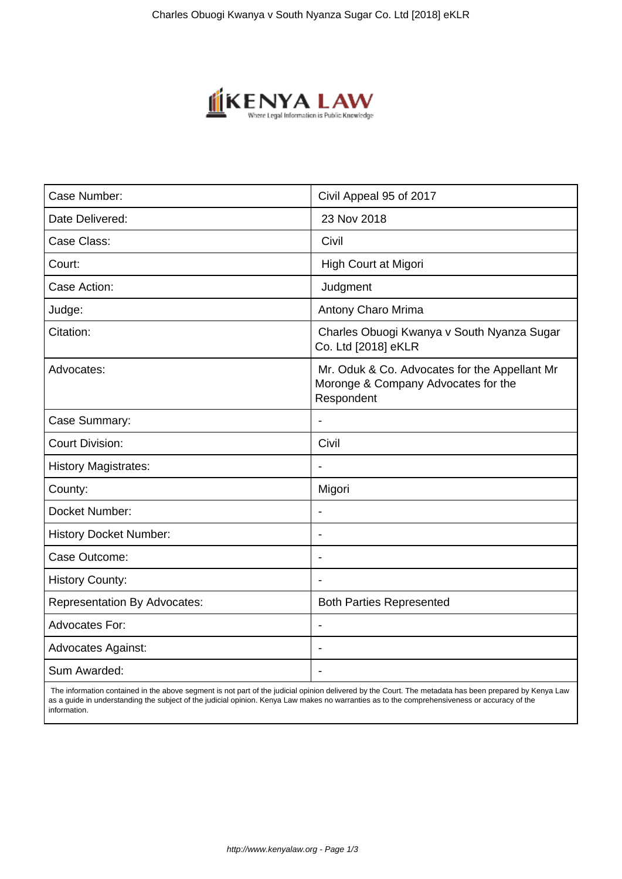

| Case Number:                        | Civil Appeal 95 of 2017                                                                            |
|-------------------------------------|----------------------------------------------------------------------------------------------------|
| Date Delivered:                     | 23 Nov 2018                                                                                        |
| Case Class:                         | Civil                                                                                              |
| Court:                              | High Court at Migori                                                                               |
| Case Action:                        | Judgment                                                                                           |
| Judge:                              | Antony Charo Mrima                                                                                 |
| Citation:                           | Charles Obuogi Kwanya v South Nyanza Sugar<br>Co. Ltd [2018] eKLR                                  |
| Advocates:                          | Mr. Oduk & Co. Advocates for the Appellant Mr<br>Moronge & Company Advocates for the<br>Respondent |
| Case Summary:                       |                                                                                                    |
| <b>Court Division:</b>              | Civil                                                                                              |
| <b>History Magistrates:</b>         | $\blacksquare$                                                                                     |
| County:                             | Migori                                                                                             |
| Docket Number:                      | $\blacksquare$                                                                                     |
| <b>History Docket Number:</b>       | $\blacksquare$                                                                                     |
| Case Outcome:                       | $\overline{\phantom{a}}$                                                                           |
| <b>History County:</b>              |                                                                                                    |
| <b>Representation By Advocates:</b> | <b>Both Parties Represented</b>                                                                    |
| <b>Advocates For:</b>               | $\blacksquare$                                                                                     |
| <b>Advocates Against:</b>           | $\blacksquare$                                                                                     |
| Sum Awarded:                        |                                                                                                    |

 The information contained in the above segment is not part of the judicial opinion delivered by the Court. The metadata has been prepared by Kenya Law as a guide in understanding the subject of the judicial opinion. Kenya Law makes no warranties as to the comprehensiveness or accuracy of the information.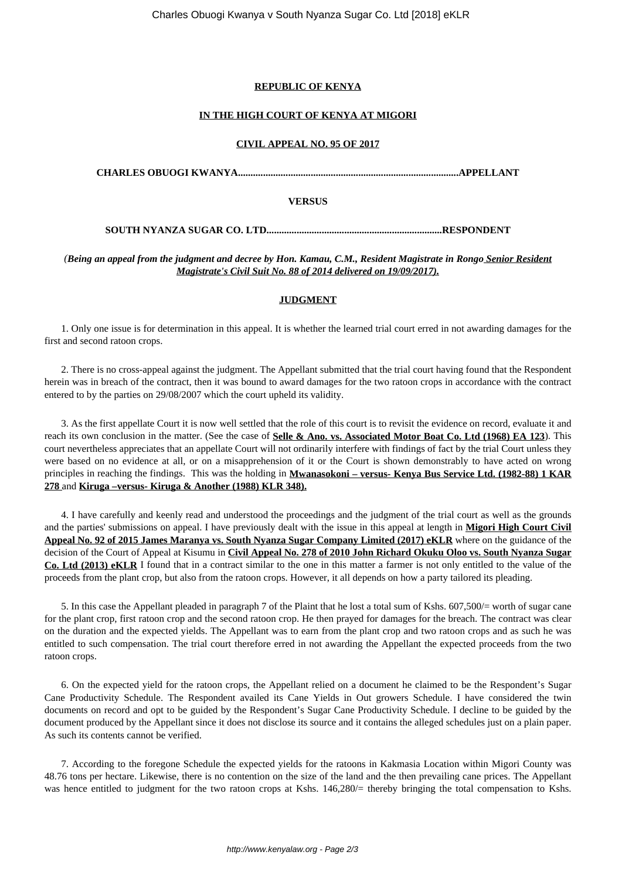# **REPUBLIC OF KENYA**

# **IN THE HIGH COURT OF KENYA AT MIGORI**

# **CIVIL APPEAL NO. 95 OF 2017**

**CHARLES OBUOGI KWANYA........................................................................................APPELLANT**

#### **VERSUS**

**SOUTH NYANZA SUGAR CO. LTD......................................................................RESPONDENT**

*(Being an appeal from the judgment and decree by Hon. Kamau, C.M., Resident Magistrate in Rongo Senior Resident Magistrate's Civil Suit No. 88 of 2014 delivered on 19/09/2017).*

# **JUDGMENT**

1. Only one issue is for determination in this appeal. It is whether the learned trial court erred in not awarding damages for the first and second ratoon crops.

2. There is no cross-appeal against the judgment. The Appellant submitted that the trial court having found that the Respondent herein was in breach of the contract, then it was bound to award damages for the two ratoon crops in accordance with the contract entered to by the parties on 29/08/2007 which the court upheld its validity.

3. As the first appellate Court it is now well settled that the role of this court is to revisit the evidence on record, evaluate it and reach its own conclusion in the matter. (See the case of **Selle & Ano. vs. Associated Motor Boat Co. Ltd (1968) EA 123**). This court nevertheless appreciates that an appellate Court will not ordinarily interfere with findings of fact by the trial Court unless they were based on no evidence at all, or on a misapprehension of it or the Court is shown demonstrably to have acted on wrong principles in reaching the findings. This was the holding in **Mwanasokoni – versus- Kenya Bus Service Ltd. (1982-88) 1 KAR 278** and **Kiruga –versus- Kiruga & Another (1988) KLR 348).**

4. I have carefully and keenly read and understood the proceedings and the judgment of the trial court as well as the grounds and the parties' submissions on appeal. I have previously dealt with the issue in this appeal at length in **Migori High Court Civil Appeal No. 92 of 2015 James Maranya vs. South Nyanza Sugar Company Limited (2017) eKLR** where on the guidance of the decision of the Court of Appeal at Kisumu in **Civil Appeal No. 278 of 2010 John Richard Okuku Oloo vs. South Nyanza Sugar Co. Ltd (2013) eKLR** I found that in a contract similar to the one in this matter a farmer is not only entitled to the value of the proceeds from the plant crop, but also from the ratoon crops. However, it all depends on how a party tailored its pleading.

5. In this case the Appellant pleaded in paragraph 7 of the Plaint that he lost a total sum of Kshs. 607,500/= worth of sugar cane for the plant crop, first ratoon crop and the second ratoon crop. He then prayed for damages for the breach. The contract was clear on the duration and the expected yields. The Appellant was to earn from the plant crop and two ratoon crops and as such he was entitled to such compensation. The trial court therefore erred in not awarding the Appellant the expected proceeds from the two ratoon crops.

6. On the expected yield for the ratoon crops, the Appellant relied on a document he claimed to be the Respondent's Sugar Cane Productivity Schedule. The Respondent availed its Cane Yields in Out growers Schedule. I have considered the twin documents on record and opt to be guided by the Respondent's Sugar Cane Productivity Schedule. I decline to be guided by the document produced by the Appellant since it does not disclose its source and it contains the alleged schedules just on a plain paper. As such its contents cannot be verified.

7. According to the foregone Schedule the expected yields for the ratoons in Kakmasia Location within Migori County was 48.76 tons per hectare. Likewise, there is no contention on the size of the land and the then prevailing cane prices. The Appellant was hence entitled to judgment for the two ratoon crops at Kshs. 146,280/= thereby bringing the total compensation to Kshs.